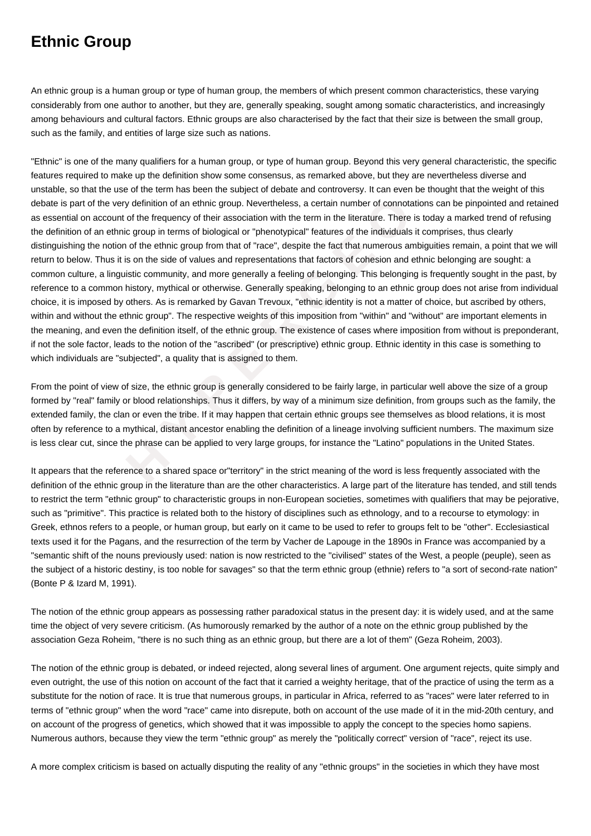## **Ethnic Group**

An ethnic group is a human group or type of human group, the members of which present common characteristics, these varying considerably from one author to another, but they are, generally speaking, sought among somatic characteristics, and increasingly among behaviours and cultural factors. Ethnic groups are also characterised by the fact that their size is between the small group, such as the family, and entities of large size such as nations.

the very definition of an ethnic group. Nevertheless, a certain number of connotation<br>ccount of the frequency of their association with the term in the literature. There is to<br>n ethnic group in terms of biological or "phen "Ethnic" is one of the many qualifiers for a human group, or type of human group. Beyond this very general characteristic, the specific features required to make up the definition show some consensus, as remarked above, but they are nevertheless diverse and unstable, so that the use of the term has been the subject of debate and controversy. It can even be thought that the weight of this debate is part of the very definition of an ethnic group. Nevertheless, a certain number of connotations can be pinpointed and retained as essential on account of the frequency of their association with the term in the literature. There is today a marked trend of refusing the definition of an ethnic group in terms of biological or "phenotypical" features of the individuals it comprises, thus clearly distinguishing the notion of the ethnic group from that of "race", despite the fact that numerous ambiguities remain, a point that we will return to below. Thus it is on the side of values and representations that factors of cohesion and ethnic belonging are sought: a common culture, a linguistic community, and more generally a feeling of belonging. This belonging is frequently sought in the past, by reference to a common history, mythical or otherwise. Generally speaking, belonging to an ethnic group does not arise from individual choice, it is imposed by others. As is remarked by Gavan Trevoux, "ethnic identity is not a matter of choice, but ascribed by others, within and without the ethnic group". The respective weights of this imposition from "within" and "without" are important elements in the meaning, and even the definition itself, of the ethnic group. The existence of cases where imposition from without is preponderant, if not the sole factor, leads to the notion of the "ascribed" (or prescriptive) ethnic group. Ethnic identity in this case is something to which individuals are "subjected", a quality that is assigned to them.

From the point of view of size, the ethnic group is generally considered to be fairly large, in particular well above the size of a group formed by "real" family or blood relationships. Thus it differs, by way of a minimum size definition, from groups such as the family, the extended family, the clan or even the tribe. If it may happen that certain ethnic groups see themselves as blood relations, it is most often by reference to a mythical, distant ancestor enabling the definition of a lineage involving sufficient numbers. The maximum size is less clear cut, since the phrase can be applied to very large groups, for instance the "Latino" populations in the United States.

It appears that the reference to a shared space or"territory" in the strict meaning of the word is less frequently associated with the definition of the ethnic group in the literature than are the other characteristics. A large part of the literature has tended, and still tends to restrict the term "ethnic group" to characteristic groups in non-European societies, sometimes with qualifiers that may be pejorative, such as "primitive". This practice is related both to the history of disciplines such as ethnology, and to a recourse to etymology: in Greek, ethnos refers to a people, or human group, but early on it came to be used to refer to groups felt to be "other". Ecclesiastical texts used it for the Pagans, and the resurrection of the term by Vacher de Lapouge in the 1890s in France was accompanied by a "semantic shift of the nouns previously used: nation is now restricted to the "civilised" states of the West, a people (peuple), seen as the subject of a historic destiny, is too noble for savages" so that the term ethnic group (ethnie) refers to "a sort of second-rate nation" (Bonte P & Izard M, 1991).

The notion of the ethnic group appears as possessing rather paradoxical status in the present day: it is widely used, and at the same time the object of very severe criticism. (As humorously remarked by the author of a note on the ethnic group published by the association Geza Roheim, "there is no such thing as an ethnic group, but there are a lot of them" (Geza Roheim, 2003).

The notion of the ethnic group is debated, or indeed rejected, along several lines of argument. One argument rejects, quite simply and even outright, the use of this notion on account of the fact that it carried a weighty heritage, that of the practice of using the term as a substitute for the notion of race. It is true that numerous groups, in particular in Africa, referred to as "races" were later referred to in terms of "ethnic group" when the word "race" came into disrepute, both on account of the use made of it in the mid-20th century, and on account of the progress of genetics, which showed that it was impossible to apply the concept to the species homo sapiens. Numerous authors, because they view the term "ethnic group" as merely the "politically correct" version of "race", reject its use.

A more complex criticism is based on actually disputing the reality of any "ethnic groups" in the societies in which they have most